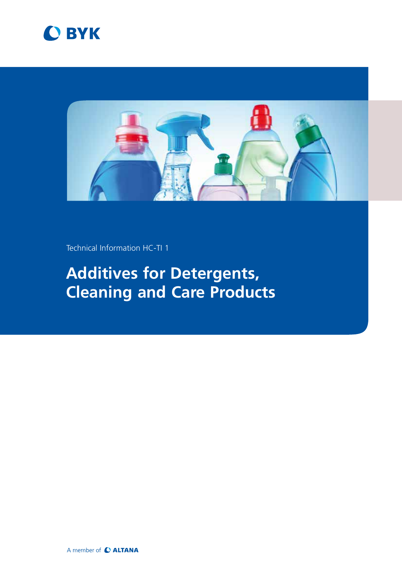



Technical Information HC-TI 1

# **Additives for Detergents, Cleaning and Care Products**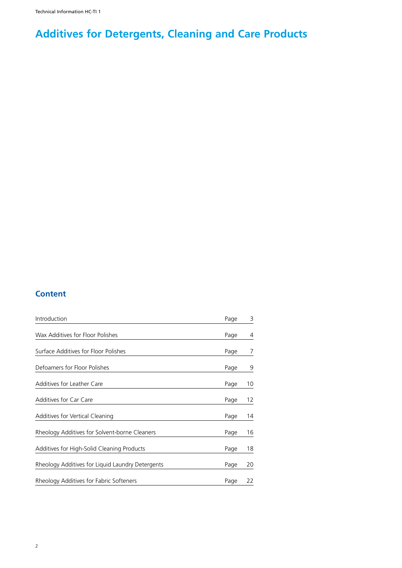# **Additives for Detergents, Cleaning and Care Products**

# **Content**

| Introduction                                     | Page | 3  |
|--------------------------------------------------|------|----|
| Wax Additives for Floor Polishes                 | Page | 4  |
| Surface Additives for Floor Polishes             | Page | 7  |
| Defoamers for Floor Polishes                     | Page | 9  |
| Additives for Leather Care                       | Page | 10 |
| Additives for Car Care                           | Page | 12 |
| Additives for Vertical Cleaning                  | Page | 14 |
| Rheology Additives for Solvent-borne Cleaners    | Page | 16 |
| Additives for High-Solid Cleaning Products       | Page | 18 |
| Rheology Additives for Liquid Laundry Detergents | Page | 20 |
| Rheology Additives for Fabric Softeners          | Page | 22 |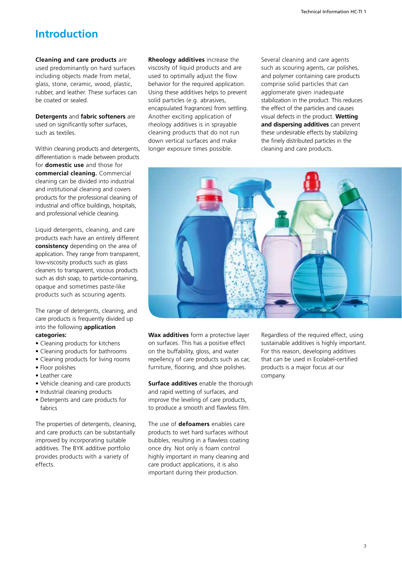# **Introduction**

### **Cleaning and care products** are used predominantly on hard surfaces including objects made from metal, glass, stone, ceramic, wood, plastic, rubber, and leather. These surfaces can be coated or sealed.

**Detergents** and **fabric softeners** are used on significantly softer surfaces, such as textiles.

Within cleaning products and detergents, differentiation is made between products for **domestic use** and those for **commercial cleaning.** Commercial cleaning can be divided into industrial and institutional cleaning and covers products for the professional cleaning of industrial and office buildings, hospitals, and professional vehicle cleaning.

Liquid detergents, cleaning, and care products each have an entirely different **consistency** depending on the area of application. They range from transparent, low-viscosity products such as glass cleaners to transparent, viscous products such as dish soap, to particle-containing, opaque and sometimes paste-like products such as scouring agents.

The range of detergents, cleaning, and care products is frequently divided up into the following **application categories:**

- Cleaning products for kitchens
- Cleaning products for bathrooms
- Cleaning products for living rooms
- Floor polishes
- Leather care
- Vehicle cleaning and care products
- Industrial cleaning products
- Detergents and care products for fabrics

The properties of detergents, cleaning, and care products can be substantially improved by incorporating suitable additives. The BYK additive portfolio provides products with a variety of effects.

**Rheology additives** increase the viscosity of liquid products and are used to optimally adjust the flow behavior for the required application. Using these additives helps to prevent solid particles (e.g. abrasives, encapsulated fragrances) from settling. Another exciting application of rheology additives is in sprayable cleaning products that do not run down vertical surfaces and make longer exposure times possible.

Several cleaning and care agents such as scouring agents, car polishes, and polymer containing care products comprise solid particles that can agglomerate given inadequate stabilization in the product. This reduces the effect of the particles and causes visual defects in the product. **Wetting and dispersing additives** can prevent these undesirable effects by stabilizing the finely distributed particles in the cleaning and care products.



**Wax additives** form a protective layer on surfaces. This has a positive effect on the buffability, gloss, and water repellency of care products such as car, furniture, flooring, and shoe polishes.

**Surface additives** enable the thorough and rapid wetting of surfaces, and improve the leveling of care products, to produce a smooth and flawless film.

The use of **defoamers** enables care products to wet hard surfaces without bubbles, resulting in a flawless coating once dry. Not only is foam control highly important in many cleaning and care product applications, it is also important during their production.

Regardless of the required effect, using sustainable additives is highly important. For this reason, developing additives that can be used in Ecolabel-certified products is a major focus at our company.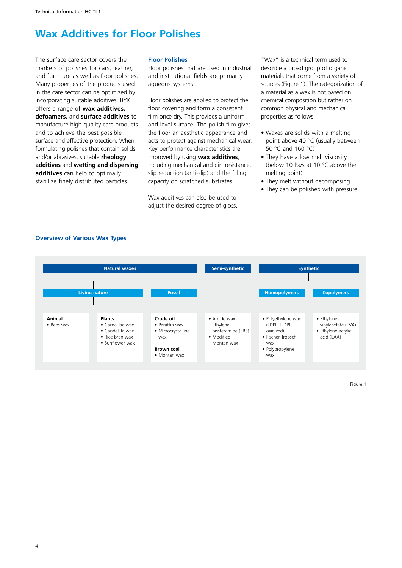# **Wax Additives for Floor Polishes**

The surface care sector covers the markets of polishes for cars, leather, and furniture as well as floor polishes. Many properties of the products used in the care sector can be optimized by incorporating suitable additives. BYK offers a range of **wax additives, defoamers,** and **surface additives** to manufacture high-quality care products and to achieve the best possible surface and effective protection. When formulating polishes that contain solids and/or abrasives, suitable **rheology additives** and **wetting and dispersing additives** can help to optimally stabilize finely distributed particles.

### **Floor Polishes**

Floor polishes that are used in industrial and institutional fields are primarily aqueous systems.

Floor polishes are applied to protect the floor covering and form a consistent film once dry. This provides a uniform and level surface. The polish film gives the floor an aesthetic appearance and acts to protect against mechanical wear. Key performance characteristics are improved by using **wax additives**, including mechanical and dirt resistance, slip reduction (anti-slip) and the filling capacity on scratched substrates.

Wax additives can also be used to adjust the desired degree of gloss.

"Wax" is a technical term used to describe a broad group of organic materials that come from a variety of sources (Figure 1). The categorization of a material as a wax is not based on chemical composition but rather on common physical and mechanical properties as follows:

- Waxes are solids with a melting point above 40 °C (usually between 50 °C and 160 °C)
- They have a low melt viscosity (below 10 Pa/s at 10 °C above the melting point)
- They melt without decomposing
- They can be polished with pressure



### **Overview of Various Wax Types**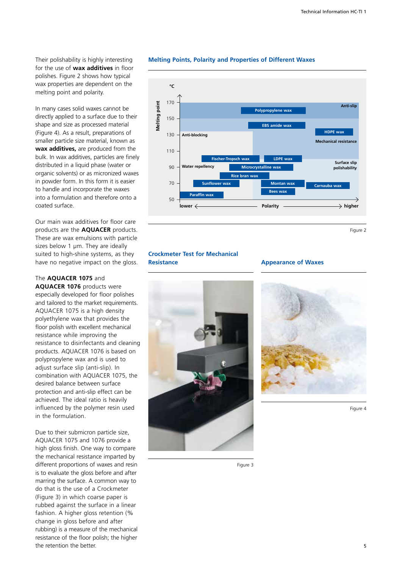Their polishability is highly interesting for the use of **wax additives** in floor polishes. Figure 2 shows how typical wax properties are dependent on the melting point and polarity.

In many cases solid waxes cannot be directly applied to a surface due to their shape and size as processed material (Figure 4). As a result, preparations of smaller particle size material, known as **wax additives,** are produced from the bulk. In wax additives, particles are finely distributed in a liquid phase (water or organic solvents) or as micronized waxes in powder form. In this form it is easier to handle and incorporate the waxes into a formulation and therefore onto a coated surface.

Our main wax additives for floor care products are the **AQUACER** products. These are wax emulsions with particle sizes below 1 µm. They are ideally suited to high-shine systems, as they have no negative impact on the gloss.

The **AQUACER 1075** and **AQUACER 1076** products were especially developed for floor polishes and tailored to the market requirements. AQUACER 1075 is a high density polyethylene wax that provides the floor polish with excellent mechanical resistance while improving the resistance to disinfectants and cleaning products. AQUACER 1076 is based on polypropylene wax and is used to adjust surface slip (anti-slip). In combination with AQUACER 1075, the desired balance between surface protection and anti-slip effect can be achieved. The ideal ratio is heavily influenced by the polymer resin used in the formulation.

Due to their submicron particle size, AQUACER 1075 and 1076 provide a high gloss finish. One way to compare the mechanical resistance imparted by different proportions of waxes and resin is to evaluate the gloss before and after marring the surface. A common way to do that is the use of a Crockmeter (Figure 3) in which coarse paper is rubbed against the surface in a linear fashion. A higher gloss retention (% change in gloss before and after rubbing) is a measure of the mechanical resistance of the floor polish; the higher the retention the better.

### **Melting Points, Polarity and Properties of Different Waxes**



Figure 2

### **Crockmeter Test for Mechanical Resistance**



### **Appearance of Waxes**



Figure 4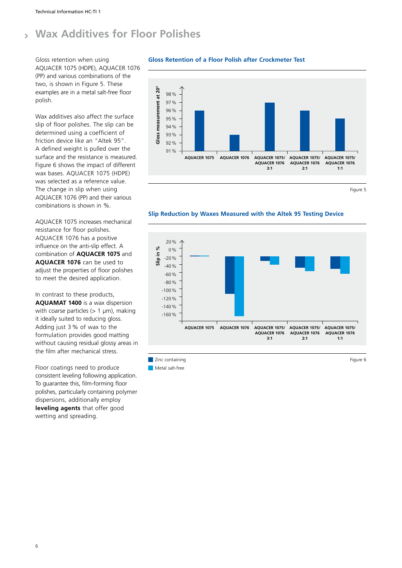### **Wax Additives for Floor Polishes**  $\overline{\phantom{a}}$

Gloss retention when using AQUACER 1075 (HDPE), AQUACER 1076 (PP) and various combinations of the two, is shown in Figure 5. These examples are in a metal salt-free floor polish.

Wax additives also affect the surface slip of floor polishes. The slip can be determined using a coefficient of friction device like an "Altek 95". A defined weight is pulled over the surface and the resistance is measured. Figure 6 shows the impact of different wax bases. AQUACER 1075 (HDPE) was selected as a reference value. The change in slip when using AQUACER 1076 (PP) and their various combinations is shown in %.

AQUACER 1075 increases mechanical resistance for floor polishes. AQUACER 1076 has a positive influence on the anti-slip effect. A combination of **AQUACER 1075** and **AQUACER 1076** can be used to adjust the properties of floor polishes to meet the desired application.

In contrast to these products, **AQUAMAT 1400** is a wax dispersion with coarse particles  $(> 1 \mu m)$ , making it ideally suited to reducing gloss. Adding just 3% of wax to the formulation provides good matting without causing residual glossy areas in the film after mechanical stress.

Floor coatings need to produce consistent leveling following application. To guarantee this, film-forming floor polishes, particularly containing polymer dispersions, additionally employ **leveling agents** that offer good wetting and spreading.

## **Gloss Retention of a Floor Polish after Crockmeter Test**



Figure 5

### **Slip Reduction by Waxes Measured with the Altek 95 Testing Device**



**Zinc containing Figure 6**  $\blacksquare$  Metal salt-free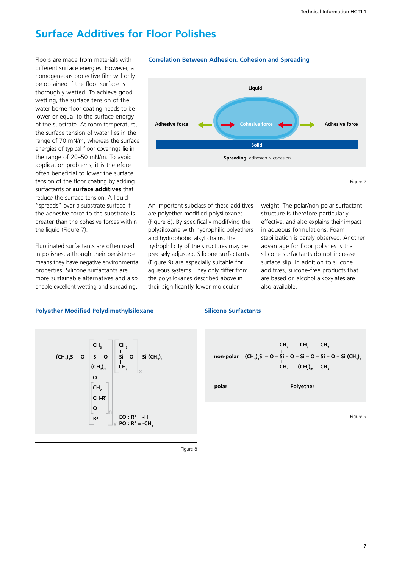# **Surface Additives for Floor Polishes**

Floors are made from materials with different surface energies. However, a homogeneous protective film will only be obtained if the floor surface is thoroughly wetted. To achieve good wetting, the surface tension of the water-borne floor coating needs to be lower or equal to the surface energy of the substrate. At room temperature, the surface tension of water lies in the range of 70 mN/m, whereas the surface energies of typical floor coverings lie in the range of 20–50 mN/m. To avoid application problems, it is therefore often beneficial to lower the surface tension of the floor coating by adding surfactants or **surface additives** that reduce the surface tension. A liquid "spreads" over a substrate surface if the adhesive force to the substrate is greater than the cohesive forces within the liquid (Figure 7).

Fluorinated surfactants are often used in polishes, although their persistence means they have negative environmental properties. Silicone surfactants are more sustainable alternatives and also enable excellent wetting and spreading.



**Correlation Between Adhesion, Cohesion and Spreading**

An important subclass of these additives are polyether modified polysiloxanes (Figure 8). By specifically modifying the polysiloxane with hydrophilic polyethers and hydrophobic alkyl chains, the hydrophilicity of the structures may be precisely adjusted. Silicone surfactants (Figure 9) are especially suitable for aqueous systems. They only differ from the polysiloxanes described above in their significantly lower molecular

weight. The polar/non-polar surfactant structure is therefore particularly effective, and also explains their impact in aqueous formulations. Foam stabilization is barely observed. Another advantage for floor polishes is that silicone surfactants do not increase surface slip. In addition to silicone additives, silicone-free products that are based on alcohol alkoxylates are also available.

### **Polyether Modified Polydimethylsiloxane**

### **Silicone Surfactants**





Figure 9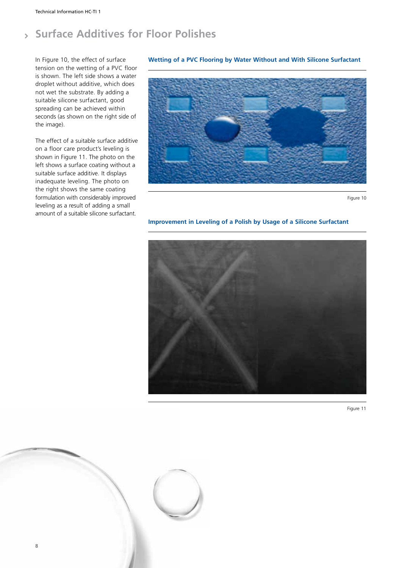### **Surface Additives for Floor Polishes** $\overline{\phantom{a}}$

In Figure 10, the effect of surface tension on the wetting of a PVC floor is shown. The left side shows a water droplet without additive, which does not wet the substrate. By adding a suitable silicone surfactant, good spreading can be achieved within seconds (as shown on the right side of the image).

The effect of a suitable surface additive on a floor care product's leveling is shown in Figure 11. The photo on the left shows a surface coating without a suitable surface additive. It displays inadequate leveling. The photo on the right shows the same coating formulation with considerably improved leveling as a result of adding a small amount of a suitable silicone surfactant.

### **Wetting of a PVC Flooring by Water Without and With Silicone Surfactant**



Figure 10

### **Improvement in Leveling of a Polish by Usage of a Silicone Surfactant**





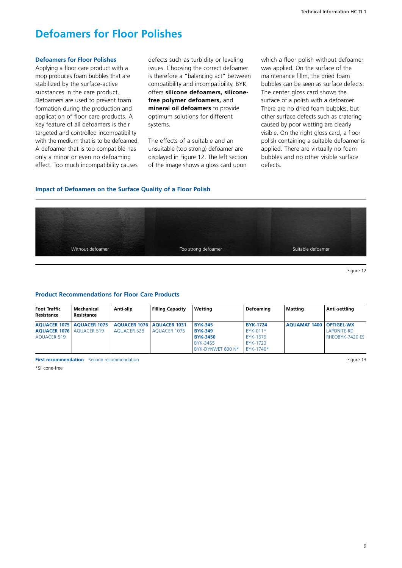# **Defoamers for Floor Polishes**

### **Defoamers for Floor Polishes**

Applying a floor care product with a mop produces foam bubbles that are stabilized by the surface-active substances in the care product. Defoamers are used to prevent foam formation during the production and application of floor care products. A key feature of all defoamers is their targeted and controlled incompatibility with the medium that is to be defoamed. A defoamer that is too compatible has only a minor or even no defoaming effect. Too much incompatibility causes

defects such as turbidity or leveling issues. Choosing the correct defoamer is therefore a "balancing act" between compatibility and incompatibility. BYK offers **silicone defoamers, siliconefree polymer defoamers,** and **mineral oil defoamers** to provide optimum solutions for different systems.

The effects of a suitable and an unsuitable (too strong) defoamer are displayed in Figure 12. The left section of the image shows a gloss card upon

which a floor polish without defoamer was applied. On the surface of the maintenance fillm, the dried foam bubbles can be seen as surface defects. The center gloss card shows the surface of a polish with a defoamer. There are no dried foam bubbles, but other surface defects such as cratering caused by poor wetting are clearly visible. On the right gloss card, a floor polish containing a suitable defoamer is applied. There are virtually no foam bubbles and no other visible surface defects.

### **Impact of Defoamers on the Surface Quality of a Floor Polish**



Figure 12

### **Product Recommendations for Floor Care Products**

| Foot Traffic<br>Resistance                              | Mechanical<br>Resistance           | Anti-slip                                         | <b>Filling Capacity</b> | Wetting                                             | Defoaming                               | Matting                          | Anti-settling                         |
|---------------------------------------------------------|------------------------------------|---------------------------------------------------|-------------------------|-----------------------------------------------------|-----------------------------------------|----------------------------------|---------------------------------------|
| <b>AOUACER 1076   AOUACER 519</b><br><b>AOUACER 519</b> | <b>AOUACER 1075   AOUACER 1075</b> | AOUACER 1076   AOUACER 1031<br><b>AOUACER 528</b> | AOUACER 1075            | <b>BYK-345</b><br><b>BYK-349</b><br><b>BYK-3450</b> | <b>BYK-1724</b><br>BYK-011*<br>BYK-1679 | <b>AOUAMAT 1400   OPTIGEL-WX</b> | <b>LAPONITE-RD</b><br>RHEOBYK-7420 ES |
|                                                         |                                    |                                                   |                         | BYK-3455<br>BYK-DYNWET 800 N*                       | <b>BYK-1723</b><br>$BYK-1740*$          |                                  |                                       |

**First recommendation** Second recommendation **Figure 13** 

\*Silicone-free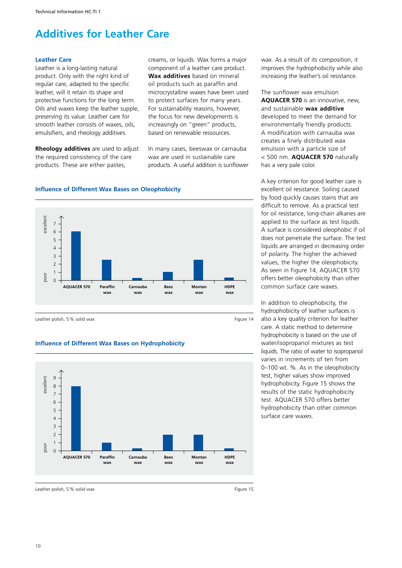# **Additives for Leather Care**

### **Leather Care**

Leather is a long-lasting natural product. Only with the right kind of regular care, adapted to the specific leather, will it retain its shape and protective functions for the long term. Oils and waxes keep the leather supple, preserving its value. Leather care for smooth leather consists of waxes, oils, emulsifiers, and rheology additives.

**Rheology additives** are used to adjust the required consistency of the care products. These are either pastes,

**Influence of Different Wax Bases on Oleophobicity**

creams, or liquids. Wax forms a major component of a leather care product. **Wax additives** based on mineral oil products such as paraffin and microcrystalline waxes have been used to protect surfaces for many years. For sustainability reasons, however, the focus for new developments is increasingly on "green" products, based on renewable ressources.

In many cases, beeswax or carnauba wax are used in sustainable care products. A useful addition is sunflower wax. As a result of its composition, it improves the hydrophobicity while also increasing the leather's oil resistance.

The sunflower wax emulsion **AQUACER 570** is an innovative, new, and sustainable **wax additive** developed to meet the demand for environmentally friendly products. A modification with carnauba wax creates a finely distributed wax emulsion with a particle size of < 500 nm. **AQUACER 570** naturally has a very pale color.

A key criterion for good leather care is excellent oil resistance. Soiling caused by food quickly causes stains that are difficult to remove. As a practical test for oil resistance, long-chain alkanes are applied to the surface as test liquids. A surface is considered oleophobic if oil does not penetrate the surface. The test liquids are arranged in decreasing order of polarity. The higher the achieved values, the higher the oleophobicity. As seen in Figure 14, AQUACER 570 offers better oleophobicity than other common surface care waxes.

In addition to oleophobicity, the hydrophobicity of leather surfaces is also a key quality criterion for leather care. A static method to determine hydrophobicity is based on the use of water/isopropanol mixtures as test liquids. The ratio of water to isopropanol varies in increments of ten from 0–100 wt. %. As in the oleophobicity test, higher values show improved hydrophobicity. Figure 15 shows the results of the static hydrophobicity test. AQUACER 570 offers better hydrophobicity than other common surface care waxes.



### **Influence of Different Wax Bases on Hydrophobicity**

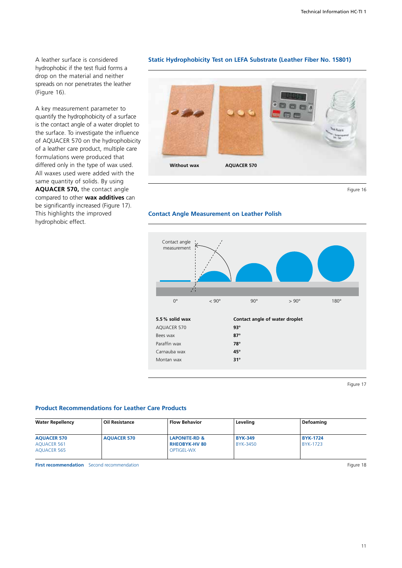A leather surface is considered hydrophobic if the test fluid forms a drop on the material and neither spreads on nor penetrates the leather (Figure 16).

A key measurement parameter to quantify the hydrophobicity of a surface is the contact angle of a water droplet to the surface. To investigate the influence of AQUACER 570 on the hydrophobicity of a leather care product, multiple care formulations were produced that differed only in the type of wax used. All waxes used were added with the same quantity of solids. By using **AQUACER 570,** the contact angle compared to other **wax additives** can be significantly increased (Figure 17). This highlights the improved hydrophobic effect.

### **Static Hydrophobicity Test on LEFA Substrate (Leather Fiber No. 15801)**





### **Contact Angle Measurement on Leather Polish**



Figure 17

### **Product Recommendations for Leather Care Products**

| <b>Water Repellency</b>                                 | <b>Oil Resistance</b> | <b>Flow Behavior</b>                                                  | Leveling                          | Defoaming                          |
|---------------------------------------------------------|-----------------------|-----------------------------------------------------------------------|-----------------------------------|------------------------------------|
| <b>AQUACER 570</b><br>AQUACER 561<br><b>AQUACER 565</b> | <b>AQUACER 570</b>    | <b>LAPONITE-RD &amp;</b><br><b>RHEOBYK-HV 80</b><br><b>OPTIGEL-WX</b> | <b>BYK-349</b><br><b>BYK-3450</b> | <b>BYK-1724</b><br><b>BYK-1723</b> |

**First recommendation** Second recommendation **Figure 18**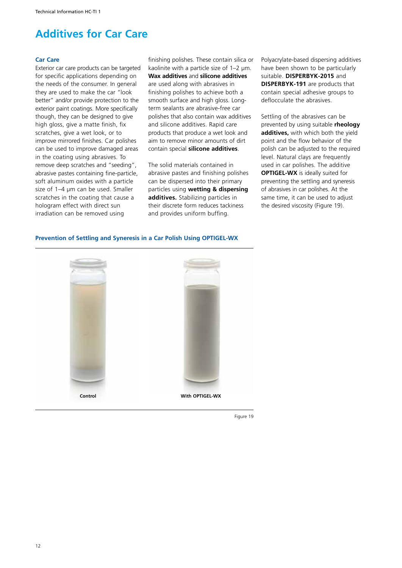# **Additives for Car Care**

### **Car Care**

Exterior car care products can be targeted for specific applications depending on the needs of the consumer. In general they are used to make the car "look better" and/or provide protection to the exterior paint coatings. More specifically though, they can be designed to give high gloss, give a matte finish, fix scratches, give a wet look, or to improve mirrored finishes. Car polishes can be used to improve damaged areas in the coating using abrasives. To remove deep scratches and "seeding", abrasive pastes containing fine-particle, soft aluminum oxides with a particle size of 1–4 µm can be used. Smaller scratches in the coating that cause a hologram effect with direct sun irradiation can be removed using

finishing polishes. These contain silica or kaolinite with a particle size of 1–2 µm. **Wax additives** and **silicone additives** are used along with abrasives in finishing polishes to achieve both a smooth surface and high gloss. Longterm sealants are abrasive-free car polishes that also contain wax additives and silicone additives. Rapid care products that produce a wet look and aim to remove minor amounts of dirt contain special **silicone additives**.

The solid materials contained in abrasive pastes and finishing polishes can be dispersed into their primary particles using **wetting & dispersing additives.** Stabilizing particles in their discrete form reduces tackiness and provides uniform buffing.

Polyacrylate-based dispersing additives have been shown to be particularly suitable. **DISPERBYK-2015** and **DISPERBYK-191** are products that contain special adhesive groups to deflocculate the abrasives.

Settling of the abrasives can be prevented by using suitable **rheology additives,** with which both the yield point and the flow behavior of the polish can be adjusted to the required level. Natural clays are frequently used in car polishes. The additive **OPTIGEL-WX** is ideally suited for preventing the settling and syneresis of abrasives in car polishes. At the same time, it can be used to adjust the desired viscosity (Figure 19).

# **Control With OPTIGEL-WX**

### **Prevention of Settling and Syneresis in a Car Polish Using OPTIGEL-WX**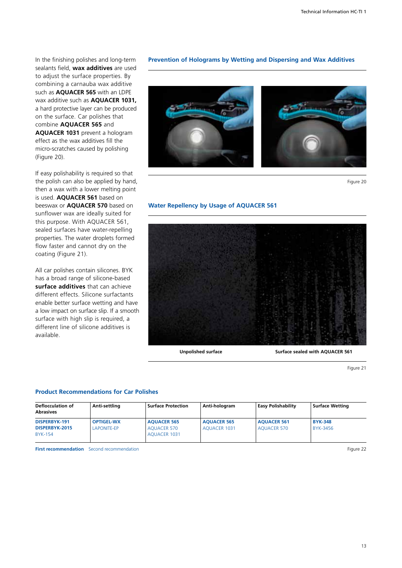In the finishing polishes and long-term sealants field, **wax additives** are used to adjust the surface properties. By combining a carnauba wax additive such as **AQUACER 565** with an LDPE wax additive such as **AQUACER 1031,** a hard protective layer can be produced on the surface. Car polishes that combine **AQUACER 565** and **AQUACER 1031** prevent a hologram effect as the wax additives fill the micro-scratches caused by polishing (Figure 20).

If easy polishability is required so that the polish can also be applied by hand, then a wax with a lower melting point is used. **AQUACER 561** based on beeswax or **AQUACER 570** based on sunflower wax are ideally suited for this purpose. With AQUACER 561, sealed surfaces have water-repelling properties. The water droplets formed flow faster and cannot dry on the coating (Figure 21).

All car polishes contain silicones. BYK has a broad range of silicone-based **surface additives** that can achieve different effects. Silicone surfactants enable better surface wetting and have a low impact on surface slip. If a smooth surface with high slip is required, a different line of silicone additives is available.

### **Prevention of Holograms by Wetting and Dispersing and Wax Additives**



Figure 20

### **Water Repellency by Usage of AQUACER 561**



Figure 21

### **Product Recommendations for Car Polishes**

| <b>Deflocculation of</b><br><b>Abrasives</b>      | Anti-settling                           | <b>Surface Protection</b>                                       | Anti-hologram                             | <b>Easy Polishability</b>                | <b>Surface Wetting</b>     |
|---------------------------------------------------|-----------------------------------------|-----------------------------------------------------------------|-------------------------------------------|------------------------------------------|----------------------------|
| DISPERBYK-191<br>DISPERBYK-2015<br><b>BYK-154</b> | <b>OPTIGEL-WX</b><br><b>LAPONITE-EP</b> | <b>AOUACER 565</b><br><b>AOUACER 570</b><br><b>AOUACER 1031</b> | <b>AOUACER 565</b><br><b>AOUACER 1031</b> | <b>AOUACER 561</b><br><b>AOUACER 570</b> | <b>BYK-348</b><br>BYK-3456 |

**First recommendation** Second recommendation **Figure 22**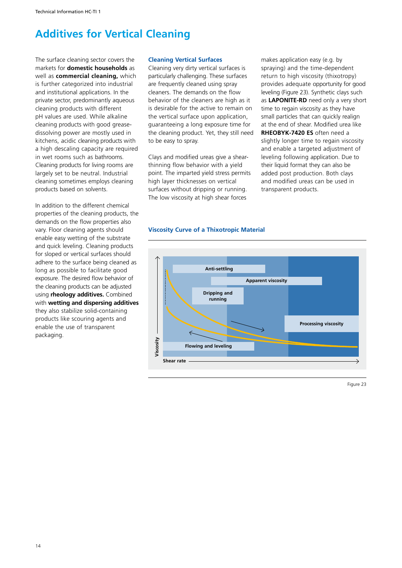# **Additives for Vertical Cleaning**

The surface cleaning sector covers the markets for **domestic households** as well as **commercial cleaning,** which is further categorized into industrial and institutional applications. In the private sector, predominantly aqueous cleaning products with different pH values are used. While alkaline cleaning products with good greasedissolving power are mostly used in kitchens, acidic cleaning products with a high descaling capacity are required in wet rooms such as bathrooms. Cleaning products for living rooms are largely set to be neutral. Industrial cleaning sometimes employs cleaning products based on solvents.

In addition to the different chemical properties of the cleaning products, the demands on the flow properties also vary. Floor cleaning agents should enable easy wetting of the substrate and quick leveling. Cleaning products for sloped or vertical surfaces should adhere to the surface being cleaned as long as possible to facilitate good exposure. The desired flow behavior of the cleaning products can be adjusted using **rheology additives.** Combined with **wetting and dispersing additives** they also stabilize solid-containing products like scouring agents and enable the use of transparent packaging.

### **Cleaning Vertical Surfaces**

Cleaning very dirty vertical surfaces is particularly challenging. These surfaces are frequently cleaned using spray cleaners. The demands on the flow behavior of the cleaners are high as it is desirable for the active to remain on the vertical surface upon application, guaranteeing a long exposure time for the cleaning product. Yet, they still need to be easy to spray.

Clays and modified ureas give a shearthinning flow behavior with a yield point. The imparted yield stress permits high layer thicknesses on vertical surfaces without dripping or running. The low viscosity at high shear forces

**Viscosity Curve of a Thixotropic Material**



makes application easy (e.g. by spraying) and the time-dependent return to high viscosity (thixotropy) provides adequate opportunity for good leveling (Figure 23). Synthetic clays such as **LAPONITE-RD** need only a very short time to regain viscosity as they have small particles that can quickly realign at the end of shear. Modified urea like **RHEOBYK-7420 ES** often need a slightly longer time to regain viscosity and enable a targeted adjustment of leveling following application. Due to their liquid format they can also be added post production. Both clays and modified ureas can be used in

transparent products.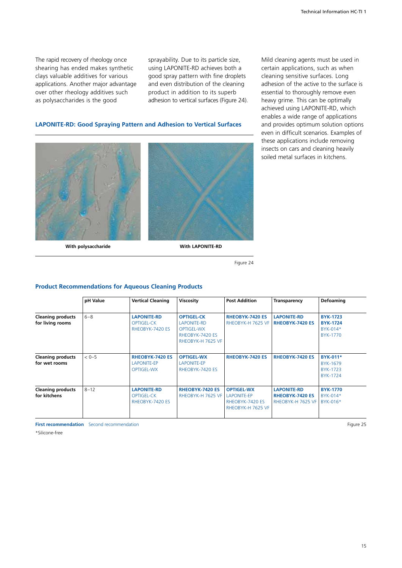The rapid recovery of rheology once shearing has ended makes synthetic clays valuable additives for various applications. Another major advantage over other rheology additives such as polysaccharides is the good

sprayability. Due to its particle size, using LAPONITE-RD achieves both a good spray pattern with fine droplets and even distribution of the cleaning product in addition to its superb adhesion to vertical surfaces (Figure 24).

### **LAPONITE-RD: Good Spraying Pattern and Adhesion to Vertical Surfaces**



**With polysaccharide With LAPONITE-RD**

Figure 24

### **Product Recommendations for Aqueous Cleaning Products**

|                                              | pH Value | <b>Vertical Cleaning</b>                                          | <b>Viscosity</b>                                                                                     | <b>Post Addition</b>                                                     | <b>Transparency</b>                                               | <b>Defoaming</b>                                           |
|----------------------------------------------|----------|-------------------------------------------------------------------|------------------------------------------------------------------------------------------------------|--------------------------------------------------------------------------|-------------------------------------------------------------------|------------------------------------------------------------|
| <b>Cleaning products</b><br>for living rooms | $6 - 8$  | <b>LAPONITE-RD</b><br>OPTIGEL-CK<br>RHEOBYK-7420 ES               | <b>OPTIGEL-CK</b><br><b>LAPONITE-RD</b><br><b>OPTIGEL-WX</b><br>RHEOBYK-7420 ES<br>RHEOBYK-H 7625 VF | <b>RHEOBYK-7420 ES</b><br>RHEOBYK-H 7625 VF                              | <b>LAPONITE-RD</b><br><b>RHEOBYK-7420 ES</b>                      | <b>BYK-1723</b><br><b>BYK-1724</b><br>BYK-014*<br>BYK-1770 |
| <b>Cleaning products</b><br>for wet rooms    | $< 0-5$  | <b>RHEOBYK-7420 ES</b><br><b>LAPONITE-EP</b><br><b>OPTIGEL-WX</b> | <b>OPTIGEL-WX</b><br><b>LAPONITE-EP</b><br>RHEOBYK-7420 ES                                           | <b>RHEOBYK-7420 ES</b>                                                   | <b>RHEOBYK-7420 ES</b>                                            | <b>BYK-011*</b><br>BYK-1679<br>BYK-1723<br>BYK-1724        |
| <b>Cleaning products</b><br>for kitchens     | $8 - 12$ | <b>LAPONITE-RD</b><br><b>OPTIGEL-CK</b><br>RHEOBYK-7420 ES        | <b>RHEOBYK-7420 ES</b><br>RHEOBYK-H 7625 VF                                                          | <b>OPTIGEL-WX</b><br>LAPONITE-EP<br>RHEOBYK-7420 ES<br>RHEOBYK-H 7625 VF | <b>LAPONITE-RD</b><br><b>RHEOBYK-7420 ES</b><br>RHEOBYK-H 7625 VF | <b>BYK-1770</b><br>BYK-014*<br>BYK-016*                    |

**First recommendation** Second recommendation **Figure 25** 

\*Silicone-free

Mild cleaning agents must be used in certain applications, such as when cleaning sensitive surfaces. Long adhesion of the active to the surface is essential to thoroughly remove even heavy grime. This can be optimally achieved using LAPONITE-RD, which enables a wide range of applications and provides optimum solution options even in difficult scenarios. Examples of these applications include removing insects on cars and cleaning heavily soiled metal surfaces in kitchens.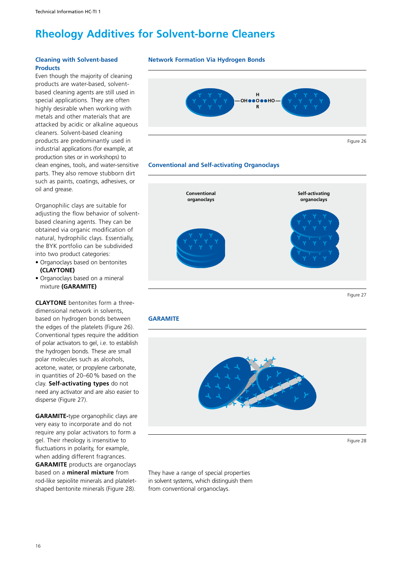# **Rheology Additives for Solvent-borne Cleaners**

### **Cleaning with Solvent-based Products**

Even though the majority of cleaning products are water-based, solventbased cleaning agents are still used in special applications. They are often highly desirable when working with metals and other materials that are attacked by acidic or alkaline aqueous cleaners. Solvent-based cleaning products are predominantly used in industrial applications (for example, at production sites or in workshops) to clean engines, tools, and water-sensitive parts. They also remove stubborn dirt such as paints, coatings, adhesives, or oil and grease.

Organophilic clays are suitable for adjusting the flow behavior of solventbased cleaning agents. They can be obtained via organic modification of natural, hydrophilic clays. Essentially, the BYK portfolio can be subdivided into two product categories:

- Organoclays based on bentonites **(CLAYTONE)**
- Organoclays based on a mineral mixture **(GARAMITE)**

**CLAYTONE** bentonites form a threedimensional network in solvents, based on hydrogen bonds between the edges of the platelets (Figure 26). Conventional types require the addition of polar activators to gel, i.e. to establish the hydrogen bonds. These are small polar molecules such as alcohols, acetone, water, or propylene carbonate, in quantities of 20–60% based on the clay. **Self-activating types** do not need any activator and are also easier to disperse (Figure 27).

**GARAMITE-**type organophilic clays are very easy to incorporate and do not require any polar activators to form a gel. Their rheology is insensitive to fluctuations in polarity, for example, when adding different fragrances. **GARAMITE** products are organoclays based on a **mineral mixture** from rod-like sepiolite minerals and plateletshaped bentonite minerals (Figure 28).

### **Network Formation Via Hydrogen Bonds**



### **Conventional and Self-activating Organoclays**



Figure 27

### **GARAMITE**



They have a range of special properties in solvent systems, which distinguish them from conventional organoclays.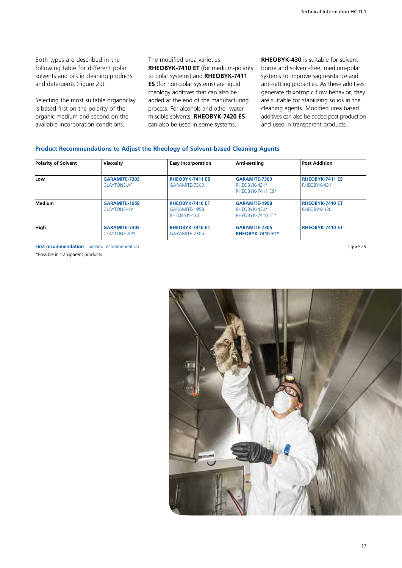Both types are described in the following table for different polar solvents and oils in cleaning products and detergents (Figure 29).

Selecting the most suitable organoclay is based first on the polarity of the organic medium and second on the available incorporation conditions.

The modified urea varieties **RHEOBYK-7410 ET** (for medium-polarity to polar systems) and **RHEOBYK-7411 ES** (for non-polar systems) are liquid rheology additives that can also be added at the end of the manufacturing process. For alcohols and other watermiscible solvents, **RHEOBYK-7420 ES** can also be used in some systems.

**RHEOBYK-430** is suitable for solventborne and solvent-free, medium-polar systems to improve sag resistance and anti-settling properties. As these additives generate thixotropic flow behavior, they are suitable for stabilizing solids in the cleaning agents. Modified urea based additives can also be added post production and used in transparent products.

### **Product Recommendations to Adjust the Rheology of Solvent-based Cleaning Agents**

| <b>Polarity of Solvent</b> | Viscosity                                  | <b>Easy Incorporation</b>                              | Anti-settling                                            | <b>Post Addition</b>                  |
|----------------------------|--------------------------------------------|--------------------------------------------------------|----------------------------------------------------------|---------------------------------------|
| Low                        | GARAMITE-7303<br><b>CLAYTONE-AF</b>        | <b>RHEOBYK-7411 ES</b><br>GARAMITE-7303                | GARAMITE-7303<br>RHEOBYK-431*<br>RHEOBYK-7411 ES*        | <b>RHEOBYK-7411 ES</b><br>RHEOBYK-431 |
| Medium                     | <b>GARAMITE-1958</b><br><b>CLAYTONE-HY</b> | <b>RHEOBYK-7410 ET</b><br>GARAMITE-1958<br>RHEOBYK-430 | <b>GARAMITE-1958</b><br>RHEOBYK-430*<br>RHEOBYK-7410 ET* | <b>RHEOBYK-7410 ET</b><br>RHEOBYK-430 |
| High                       | GARAMITE-7305<br><b>CLAYTONE-APA</b>       | <b>RHEOBYK-7410 ET</b><br>GARAMITE-7305                | GARAMITE-7305<br>RHEOBYK-7410 ET*                        | <b>RHEOBYK-7410 ET</b>                |

**First recommendation** Second recommendation **Figure 29** 

\*Possible in transparent products

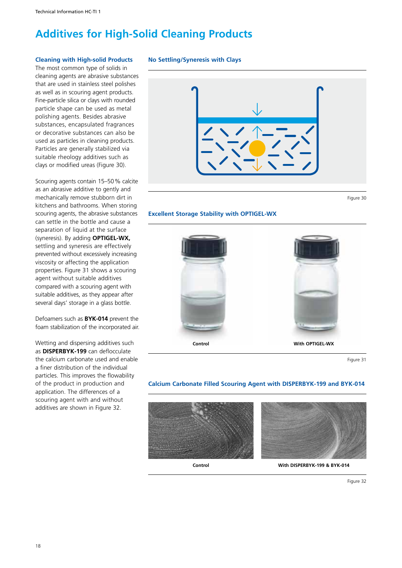# **Additives for High-Solid Cleaning Products**

### **Cleaning with High-solid Products**

The most common type of solids in cleaning agents are abrasive substances that are used in stainless steel polishes as well as in scouring agent products. Fine-particle silica or clays with rounded particle shape can be used as metal polishing agents. Besides abrasive substances, encapsulated fragrances or decorative substances can also be used as particles in cleaning products. Particles are generally stabilized via suitable rheology additives such as clays or modified ureas (Figure 30).

Scouring agents contain 15–50% calcite as an abrasive additive to gently and mechanically remove stubborn dirt in kitchens and bathrooms. When storing scouring agents, the abrasive substances can settle in the bottle and cause a separation of liquid at the surface (syneresis). By adding **OPTIGEL-WX,** settling and syneresis are effectively prevented without excessively increasing viscosity or affecting the application properties. Figure 31 shows a scouring agent without suitable additives compared with a scouring agent with suitable additives, as they appear after several days' storage in a glass bottle.

Defoamers such as **BYK-014** prevent the foam stabilization of the incorporated air.

Wetting and dispersing additives such as **DISPERBYK-199** can deflocculate the calcium carbonate used and enable a finer distribution of the individual particles. This improves the flowability of the product in production and application. The differences of a scouring agent with and without additives are shown in Figure 32.

### **No Settling/Syneresis with Clays**



Figure 30

### **Excellent Storage Stability with OPTIGEL-WX**



Figure 31

### **Calcium Carbonate Filled Scouring Agent with DISPERBYK-199 and BYK-014**





**Control With DISPERBYK-199 & BYK-014**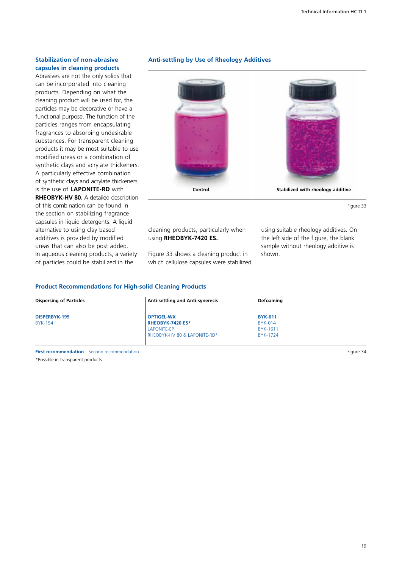### **Stabilization of non-abrasive capsules in cleaning products**

Abrasives are not the only solids that can be incorporated into cleaning products. Depending on what the cleaning product will be used for, the particles may be decorative or have a functional purpose. The function of the particles ranges from encapsulating fragrances to absorbing undesirable substances. For transparent cleaning products it may be most suitable to use modified ureas or a combination of synthetic clays and acrylate thickeners. A particularly effective combination of synthetic clays and acrylate thickeners is the use of **LAPONITE-RD** with **RHEOBYK-HV 80.** A detailed description of this combination can be found in the section on stabilizing fragrance capsules in liquid detergents. A liquid alternative to using clay based additives is provided by modified ureas that can also be post added. In aqueous cleaning products, a variety of particles could be stabilized in the

### **Anti-settling by Use of Rheology Additives**



Figure 33

cleaning products, particularly when using **RHEOBYK-7420 ES.**

Figure 33 shows a cleaning product in which cellulose capsules were stabilized using suitable rheology additives. On the left side of the figure, the blank sample without rheology additive is shown.

### **Product Recommendations for High-solid Cleaning Products**

| <b>Dispersing of Particles</b> | <b>Anti-settling and Anti-syneresis</b> | Defoaming       |  |
|--------------------------------|-----------------------------------------|-----------------|--|
| DISPERBYK-199                  | <b>OPTIGEL-WX</b>                       | <b>BYK-011</b>  |  |
| <b>BYK-154</b>                 | <b>RHEOBYK-7420 ES*</b>                 | <b>BYK-014</b>  |  |
|                                | <b>LAPONITE-EP</b>                      | <b>BYK-1611</b> |  |
|                                | RHEOBYK-HV 80 & LAPONITE-RD*            | <b>BYK-1724</b> |  |

**First recommendation** Second recommendation **Figure 34** 

\*Possible in transparent products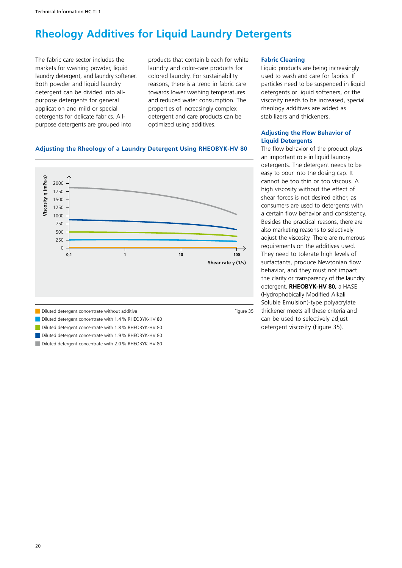# **Rheology Additives for Liquid Laundry Detergents**

The fabric care sector includes the markets for washing powder, liquid laundry detergent, and laundry softener. Both powder and liquid laundry detergent can be divided into allpurpose detergents for general application and mild or special detergents for delicate fabrics. Allpurpose detergents are grouped into

products that contain bleach for white laundry and color-care products for colored laundry. For sustainability reasons, there is a trend in fabric care towards lower washing temperatures and reduced water consumption. The properties of increasingly complex detergent and care products can be optimized using additives.

### **Adjusting the Rheology of a Laundry Detergent Using RHEOBYK-HV 80**



- **Diluted detergent concentrate with 1.9% RHEOBYK-HV 80**
- 

### **Fabric Cleaning**

Liquid products are being increasingly used to wash and care for fabrics. If particles need to be suspended in liquid detergents or liquid softeners, or the viscosity needs to be increased, special rheology additives are added as stabilizers and thickeners.

### **Adjusting the Flow Behavior of Liquid Detergents**

The flow behavior of the product plays an important role in liquid laundry detergents. The detergent needs to be easy to pour into the dosing cap. It cannot be too thin or too viscous. A high viscosity without the effect of shear forces is not desired either, as consumers are used to detergents with a certain flow behavior and consistency. Besides the practical reasons, there are also marketing reasons to selectively adjust the viscosity. There are numerous requirements on the additives used. They need to tolerate high levels of surfactants, produce Newtonian flow behavior, and they must not impact the clarity or transparency of the laundry detergent. **RHEOBYK-HV 80,** a HASE (Hydrophobically Modified Alkali Soluble Emulsion)-type polyacrylate thickener meets all these criteria and can be used to selectively adjust detergent viscosity (Figure 35).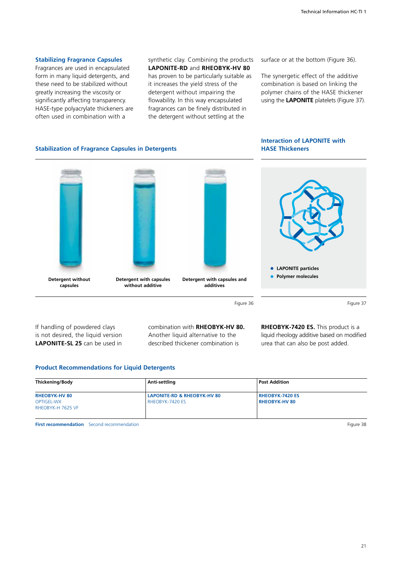### **Stabilizing Fragrance Capsules**

Fragrances are used in encapsulated form in many liquid detergents, and these need to be stabilized without greatly increasing the viscosity or significantly affecting transparency. HASE-type polyacrylate thickeners are often used in combination with a

synthetic clay. Combining the products **LAPONITE-RD** and **RHEOBYK-HV 80** has proven to be particularly suitable as it increases the yield stress of the detergent without impairing the flowability. In this way encapsulated fragrances can be finely distributed in the detergent without settling at the

surface or at the bottom (Figure 36).

The synergetic effect of the additive combination is based on linking the polymer chains of the HASE thickener using the **LAPONITE** platelets (Figure 37).

### **Stabilization of Fragrance Capsules in Detergents**





Figure 36

If handling of powdered clays is not desired, the liquid version **LAPONITE-SL 25** can be used in

**Detergent without capsules**

> combination with **RHEOBYK-HV 80.**  Another liquid alternative to the described thickener combination is

**additives**

Figure 37

**RHEOBYK-7420 ES.** This product is a liquid rheology additive based on modified urea that can also be post added.

### **Product Recommendations for Liquid Detergents**

**Detergent with capsules without additive**

| <b>Thickening/Body</b> | Anti-settling               | <b>Post Addition</b>   |  |
|------------------------|-----------------------------|------------------------|--|
| <b>RHEOBYK-HV80</b>    | LAPONITE-RD & RHEOBYK-HV 80 | <b>RHEOBYK-7420 ES</b> |  |
| <b>OPTIGEL-WX</b>      | RHEOBYK-7420 ES             | <b>RHEOBYK-HV 80</b>   |  |
| RHEOBYK-H 7625 VF      |                             |                        |  |
|                        |                             |                        |  |

**First recommendation** Second recommendation **Figure 38**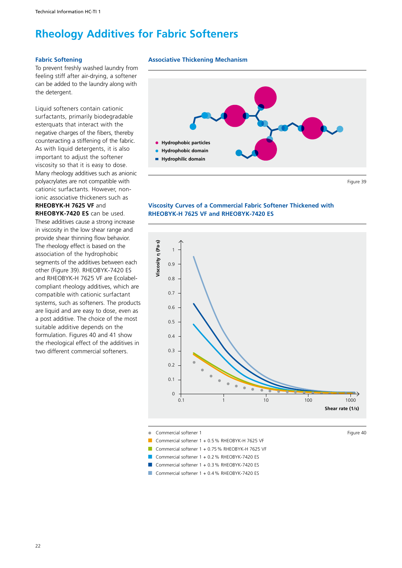# **Rheology Additives for Fabric Softeners**

### **Fabric Softening**

To prevent freshly washed laundry from feeling stiff after air-drying, a softener can be added to the laundry along with the detergent.

Liquid softeners contain cationic surfactants, primarily biodegradable esterquats that interact with the negative charges of the fibers, thereby counteracting a stiffening of the fabric. As with liquid detergents, it is also important to adjust the softener viscosity so that it is easy to dose. Many rheology additives such as anionic polyacrylates are not compatible with cationic surfactants. However, nonionic associative thickeners such as **RHEOBYK-H 7625 VF** and **RHEOBYK-7420 ES** can be used. These additives cause a strong increase in viscosity in the low shear range and provide shear thinning flow behavior. The rheology effect is based on the association of the hydrophobic segments of the additives between each other (Figure 39). RHEOBYK-7420 ES and RHEOBYK-H 7625 VF are Ecolabelcompliant rheology additives, which are compatible with cationic surfactant systems, such as softeners. The products are liquid and are easy to dose, even as a post additive. The choice of the most suitable additive depends on the formulation. Figures 40 and 41 show the rheological effect of the additives in

two different commercial softeners.

### **Associative Thickening Mechanism**



**Viscosity Curves of a Commercial Fabric Softener Thickened with RHEOBYK-H 7625 VF and RHEOBYK-7420 ES**



Commercial softener 1 + 0.5% RHEOBYK-H 7625 VF

Commercial softener 1 + 0.75% RHEOBYK-H 7625 VF

Commercial softener  $1 + 0.2$ % RHEOBYK-7420 ES

Commercial softener 1 + 0.3 % RHEOBYK-7420 ES

Commercial softener 1 + 0.4 % RHEOBYK-7420 ES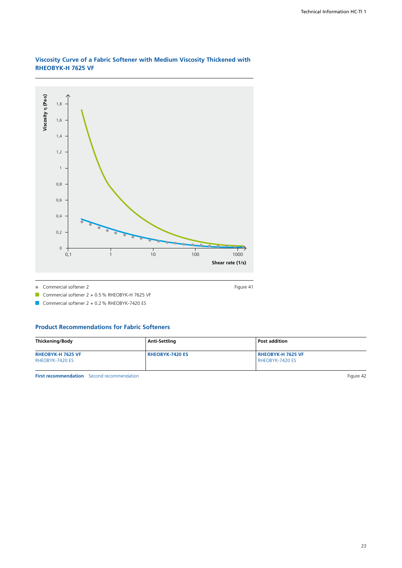

### **Viscosity Curve of a Fabric Softener with Medium Viscosity Thickened with RHEOBYK-H 7625 VF**

Commercial softener 2 Figure 41  $\Delta$ 

Commercial softener  $2 + 0.5$ % RHEOBYK-H 7625 VF

Commercial softener  $2 + 0.2$  % RHEOBYK-7420 ES

### **Product Recommendations for Fabric Softeners**

| <b>Thickening/Body</b>   | Anti-Settling   | <b>Post addition</b> |
|--------------------------|-----------------|----------------------|
| <b>RHEOBYK-H 7625 VF</b> | RHEOBYK-7420 ES | l RHEOBYK-H 7625 VF  |
| RHEOBYK-7420 ES          |                 | RHEOBYK-7420 ES      |
|                          |                 |                      |

**First recommendation** Second recommendation **Figure 42**